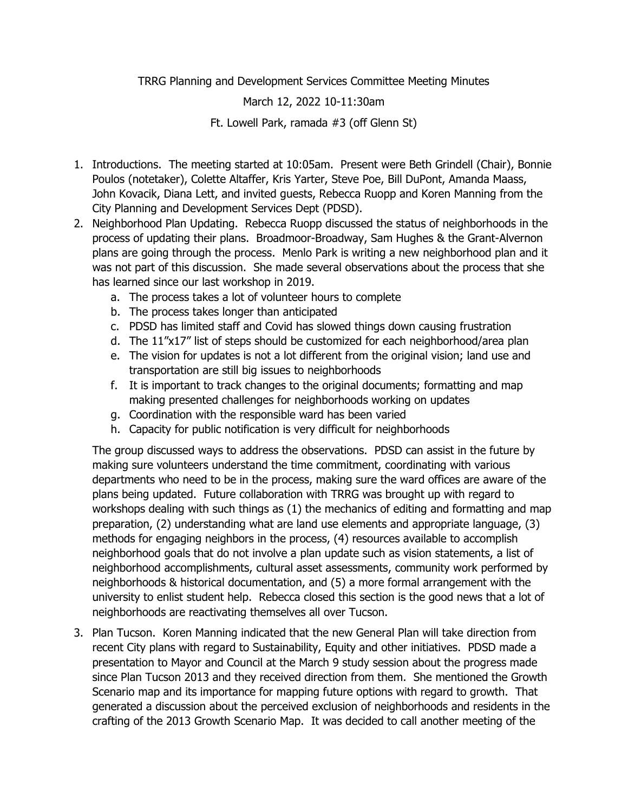TRRG Planning and Development Services Committee Meeting Minutes

## March 12, 2022 10-11:30am

Ft. Lowell Park, ramada #3 (off Glenn St)

- 1. Introductions. The meeting started at 10:05am. Present were Beth Grindell (Chair), Bonnie Poulos (notetaker), Colette Altaffer, Kris Yarter, Steve Poe, Bill DuPont, Amanda Maass, John Kovacik, Diana Lett, and invited guests, Rebecca Ruopp and Koren Manning from the City Planning and Development Services Dept (PDSD).
- 2. Neighborhood Plan Updating. Rebecca Ruopp discussed the status of neighborhoods in the process of updating their plans. Broadmoor-Broadway, Sam Hughes & the Grant-Alvernon plans are going through the process. Menlo Park is writing a new neighborhood plan and it was not part of this discussion. She made several observations about the process that she has learned since our last workshop in 2019.
	- a. The process takes a lot of volunteer hours to complete
	- b. The process takes longer than anticipated
	- c. PDSD has limited staff and Covid has slowed things down causing frustration
	- d. The 11"x17" list of steps should be customized for each neighborhood/area plan
	- e. The vision for updates is not a lot different from the original vision; land use and transportation are still big issues to neighborhoods
	- f. It is important to track changes to the original documents; formatting and map making presented challenges for neighborhoods working on updates
	- g. Coordination with the responsible ward has been varied
	- h. Capacity for public notification is very difficult for neighborhoods

The group discussed ways to address the observations. PDSD can assist in the future by making sure volunteers understand the time commitment, coordinating with various departments who need to be in the process, making sure the ward offices are aware of the plans being updated. Future collaboration with TRRG was brought up with regard to workshops dealing with such things as (1) the mechanics of editing and formatting and map preparation, (2) understanding what are land use elements and appropriate language, (3) methods for engaging neighbors in the process, (4) resources available to accomplish neighborhood goals that do not involve a plan update such as vision statements, a list of neighborhood accomplishments, cultural asset assessments, community work performed by neighborhoods & historical documentation, and (5) a more formal arrangement with the university to enlist student help. Rebecca closed this section is the good news that a lot of neighborhoods are reactivating themselves all over Tucson.

3. Plan Tucson. Koren Manning indicated that the new General Plan will take direction from recent City plans with regard to Sustainability, Equity and other initiatives. PDSD made a presentation to Mayor and Council at the March 9 study session about the progress made since Plan Tucson 2013 and they received direction from them. She mentioned the Growth Scenario map and its importance for mapping future options with regard to growth. That generated a discussion about the perceived exclusion of neighborhoods and residents in the crafting of the 2013 Growth Scenario Map. It was decided to call another meeting of the